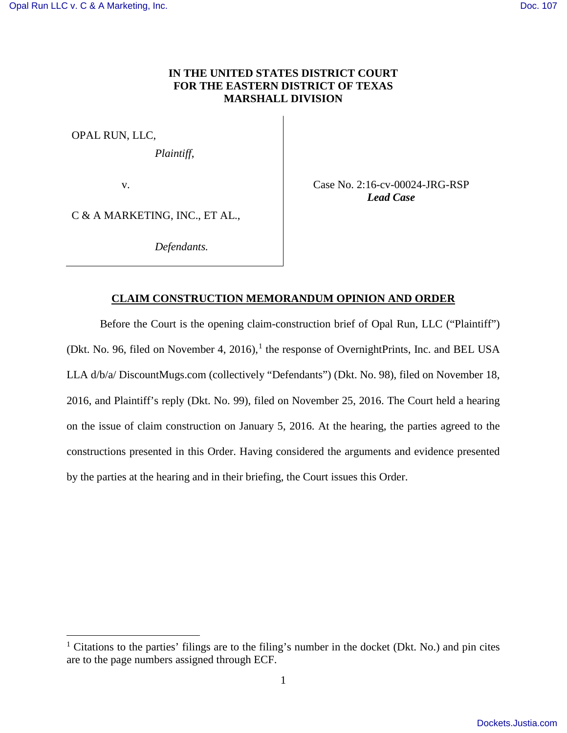## **IN THE UNITED STATES DISTRICT COURT FOR THE EASTERN DISTRICT OF TEXAS MARSHALL DIVISION**

OPAL RUN, LLC,

<u>.</u>

*Plaintiff*,

v.

Case No. 2:16-cv-00024-JRG-RSP *Lead Case* 

C & A MARKETING, INC., ET AL.,

 *Defendants.* 

# **CLAIM CONSTRUCTION MEMORANDUM OPINION AND ORDER**

Before the Court is the opening claim-construction brief of Opal Run, LLC ("Plaintiff") (Dkt. No. 96, filed on November 4, 20[1](#page-0-0)6),<sup>1</sup> the response of OvernightPrints, Inc. and BEL USA LLA d/b/a/ DiscountMugs.com (collectively "Defendants") (Dkt. No. 98), filed on November 18, 2016, and Plaintiff's reply (Dkt. No. 99), filed on November 25, 2016. The Court held a hearing on the issue of claim construction on January 5, 2016. At the hearing, the parties agreed to the constructions presented in this Order. Having considered the arguments and evidence presented by the parties at the hearing and in their briefing, the Court issues this Order.

<span id="page-0-0"></span><sup>&</sup>lt;sup>1</sup> Citations to the parties' filings are to the filing's number in the docket (Dkt. No.) and pin cites are to the page numbers assigned through ECF.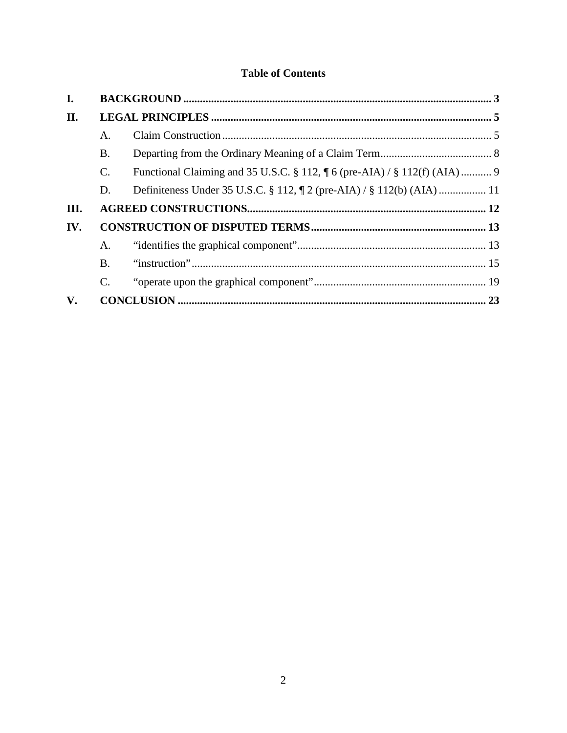# **Table of Contents**

| I.            |                 |                                                                                      |  |
|---------------|-----------------|--------------------------------------------------------------------------------------|--|
| II.           |                 |                                                                                      |  |
|               | A.              |                                                                                      |  |
|               | <b>B.</b>       |                                                                                      |  |
|               | $\mathcal{C}$ . | Functional Claiming and 35 U.S.C. § 112, $\parallel$ 6 (pre-AIA) / § 112(f) (AIA)  9 |  |
|               | D.              | Definiteness Under 35 U.S.C. § 112, $\P$ 2 (pre-AIA) / § 112(b) (AIA)  11            |  |
| III.          |                 |                                                                                      |  |
| IV.           |                 |                                                                                      |  |
|               | A.              |                                                                                      |  |
|               | <b>B.</b>       |                                                                                      |  |
|               | $\mathcal{C}$ . |                                                                                      |  |
| $V_{\bullet}$ |                 |                                                                                      |  |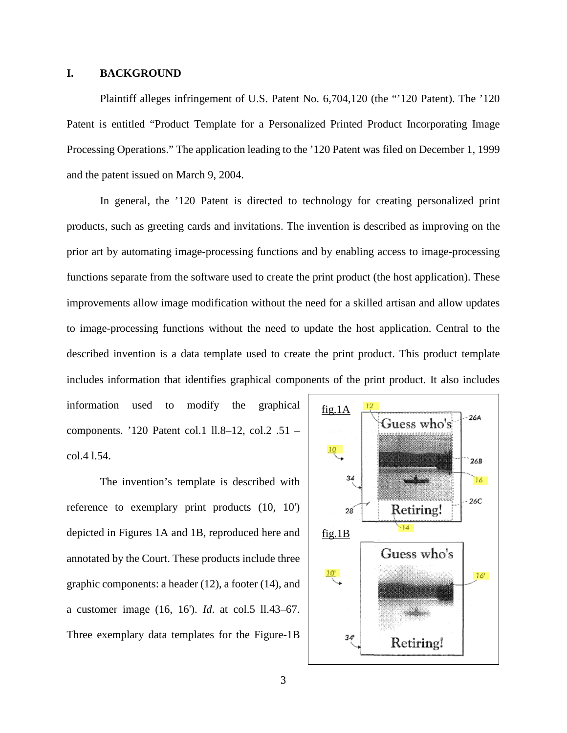### <span id="page-2-0"></span>**I. BACKGROUND**

Plaintiff alleges infringement of U.S. Patent No. 6,704,120 (the "'120 Patent). The '120 Patent is entitled "Product Template for a Personalized Printed Product Incorporating Image Processing Operations." The application leading to the '120 Patent was filed on December 1, 1999 and the patent issued on March 9, 2004.

In general, the '120 Patent is directed to technology for creating personalized print products, such as greeting cards and invitations. The invention is described as improving on the prior art by automating image-processing functions and by enabling access to image-processing functions separate from the software used to create the print product (the host application). These improvements allow image modification without the need for a skilled artisan and allow updates to image-processing functions without the need to update the host application. Central to the described invention is a data template used to create the print product. This product template includes information that identifies graphical components of the print product. It also includes

information used to modify the graphical components. '120 Patent col.1 ll.8–12, col.2 .51 – col.4 l.54.

The invention's template is described with reference to exemplary print products (10, 10') depicted in Figures 1A and 1B, reproduced here and annotated by the Court. These products include three graphic components: a header (12), a footer (14), and a customer image (16, 16'). *Id*. at col.5 ll.43–67. Three exemplary data templates for the Figure-1B

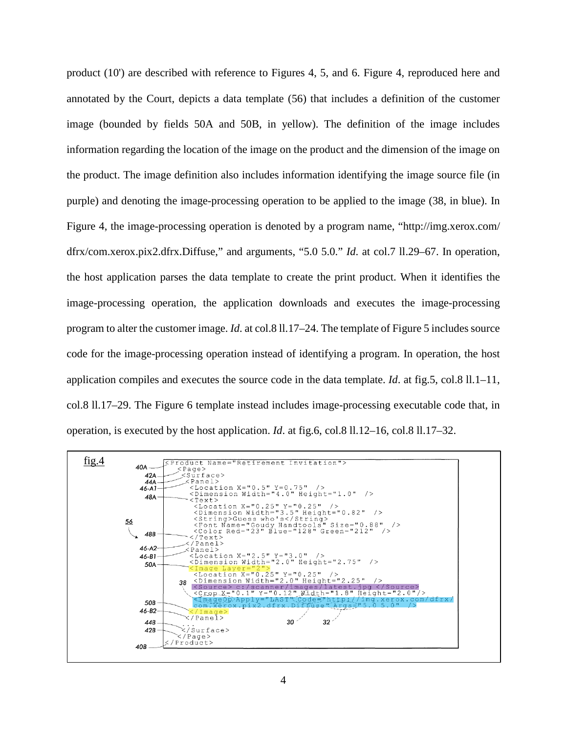product (10') are described with reference to Figures 4, 5, and 6. Figure 4, reproduced here and annotated by the Court, depicts a data template (56) that includes a definition of the customer image (bounded by fields 50A and 50B, in yellow). The definition of the image includes information regarding the location of the image on the product and the dimension of the image on the product. The image definition also includes information identifying the image source file (in purple) and denoting the image-processing operation to be applied to the image (38, in blue). In Figure 4, the image-processing operation is denoted by a program name, "http://img.xerox.com/ dfrx/com.xerox.pix2.dfrx.Diffuse," and arguments, "5.0 5.0." *Id*. at col.7 ll.29–67. In operation, the host application parses the data template to create the print product. When it identifies the image-processing operation, the application downloads and executes the image-processing program to alter the customer image. *Id*. at col.8 ll.17–24. The template of Figure 5 includes source code for the image-processing operation instead of identifying a program. In operation, the host application compiles and executes the source code in the data template. *Id*. at fig.5, col.8 ll.1–11, col.8 ll.17–29. The Figure 6 template instead includes image-processing executable code that, in operation, is executed by the host application. *Id*. at fig.6, col.8 ll.12–16, col.8 ll.17–32.

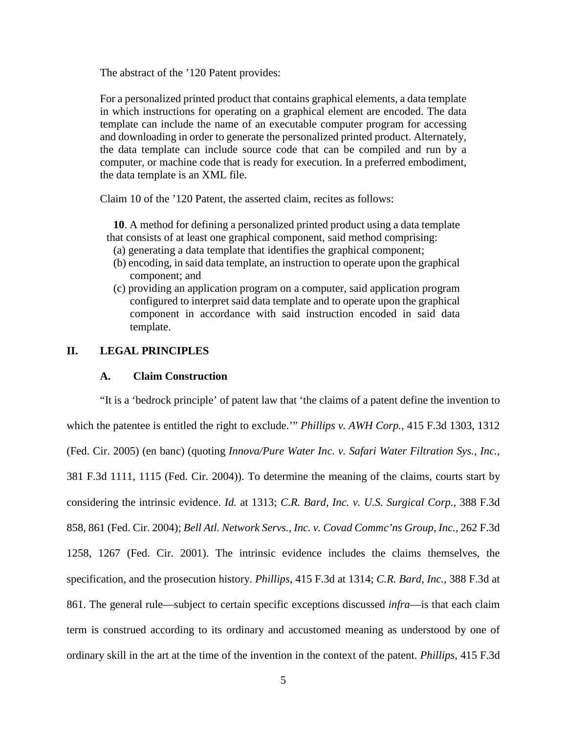The abstract of the '120 Patent provides:

For a personalized printed product that contains graphical elements, a data template in which instructions for operating on a graphical element are encoded. The data template can include the name of an executable computer program for accessing and downloading in order to generate the personalized printed product. Alternately, the data template can include source code that can be compiled and run by a computer, or machine code that is ready for execution. In a preferred embodiment, the data template is an XML file.

Claim 10 of the '120 Patent, the asserted claim, recites as follows:

**10**. A method for defining a personalized printed product using a data template that consists of at least one graphical component, said method comprising:

- (a) generating a data template that identifies the graphical component;
- (b) encoding, in said data template, an instruction to operate upon the graphical component; and
- (c) providing an application program on a computer, said application program configured to interpret said data template and to operate upon the graphical component in accordance with said instruction encoded in said data template.

## <span id="page-4-1"></span><span id="page-4-0"></span>**II. LEGAL PRINCIPLES**

#### **A. Claim Construction**

"It is a 'bedrock principle' of patent law that 'the claims of a patent define the invention to which the patentee is entitled the right to exclude.'" *Phillips v. AWH Corp.*, 415 F.3d 1303, 1312 (Fed. Cir. 2005) (en banc) (quoting *Innova/Pure Water Inc. v. Safari Water Filtration Sys., Inc.*, 381 F.3d 1111, 1115 (Fed. Cir. 2004)). To determine the meaning of the claims, courts start by considering the intrinsic evidence. *Id.* at 1313; *C.R. Bard, Inc. v. U.S. Surgical Corp.*, 388 F.3d 858, 861 (Fed. Cir. 2004); *Bell Atl. Network Servs., Inc. v. Covad Commc'ns Group, Inc.*, 262 F.3d 1258, 1267 (Fed. Cir. 2001). The intrinsic evidence includes the claims themselves, the specification, and the prosecution history. *Phillips*, 415 F.3d at 1314; *C.R. Bard, Inc.*, 388 F.3d at 861. The general rule—subject to certain specific exceptions discussed *infra*—is that each claim term is construed according to its ordinary and accustomed meaning as understood by one of ordinary skill in the art at the time of the invention in the context of the patent. *Phillips*, 415 F.3d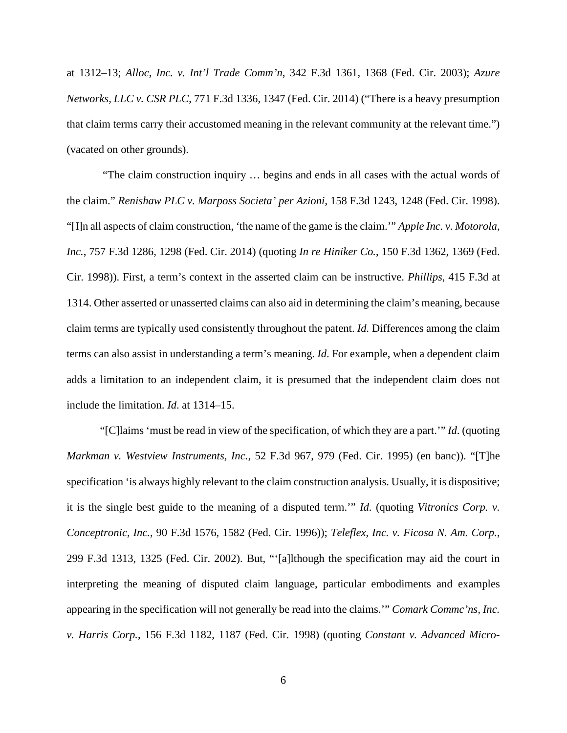at 1312–13; *Alloc, Inc. v. Int'l Trade Comm'n*, 342 F.3d 1361, 1368 (Fed. Cir. 2003); *Azure Networks, LLC v. CSR PLC*, 771 F.3d 1336, 1347 (Fed. Cir. 2014) ("There is a heavy presumption that claim terms carry their accustomed meaning in the relevant community at the relevant time.") (vacated on other grounds).

"The claim construction inquiry … begins and ends in all cases with the actual words of the claim." *Renishaw PLC v. Marposs Societa' per Azioni*, 158 F.3d 1243, 1248 (Fed. Cir. 1998). "[I]n all aspects of claim construction, 'the name of the game is the claim.'" *Apple Inc. v. Motorola, Inc.*, 757 F.3d 1286, 1298 (Fed. Cir. 2014) (quoting *In re Hiniker Co.*, 150 F.3d 1362, 1369 (Fed. Cir. 1998)). First, a term's context in the asserted claim can be instructive. *Phillips*, 415 F.3d at 1314. Other asserted or unasserted claims can also aid in determining the claim's meaning, because claim terms are typically used consistently throughout the patent. *Id.* Differences among the claim terms can also assist in understanding a term's meaning. *Id*. For example, when a dependent claim adds a limitation to an independent claim, it is presumed that the independent claim does not include the limitation. *Id*. at 1314–15.

"[C]laims 'must be read in view of the specification, of which they are a part.'" *Id*. (quoting *Markman v. Westview Instruments, Inc.*, 52 F.3d 967, 979 (Fed. Cir. 1995) (en banc)). "[T]he specification 'is always highly relevant to the claim construction analysis. Usually, it is dispositive; it is the single best guide to the meaning of a disputed term.'" *Id*. (quoting *Vitronics Corp. v. Conceptronic, Inc.*, 90 F.3d 1576, 1582 (Fed. Cir. 1996)); *Teleflex, Inc. v. Ficosa N. Am. Corp.*, 299 F.3d 1313, 1325 (Fed. Cir. 2002). But, "'[a]lthough the specification may aid the court in interpreting the meaning of disputed claim language, particular embodiments and examples appearing in the specification will not generally be read into the claims.'" *Comark Commc'ns, Inc. v. Harris Corp.*, 156 F.3d 1182, 1187 (Fed. Cir. 1998) (quoting *Constant v. Advanced Micro-*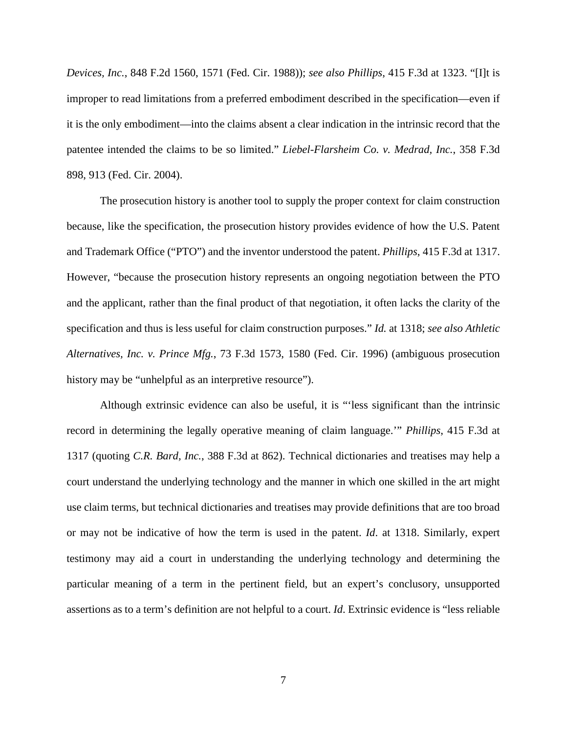*Devices, Inc.*, 848 F.2d 1560, 1571 (Fed. Cir. 1988)); *see also Phillips*, 415 F.3d at 1323. "[I]t is improper to read limitations from a preferred embodiment described in the specification—even if it is the only embodiment—into the claims absent a clear indication in the intrinsic record that the patentee intended the claims to be so limited." *Liebel-Flarsheim Co. v. Medrad, Inc.*, 358 F.3d 898, 913 (Fed. Cir. 2004).

The prosecution history is another tool to supply the proper context for claim construction because, like the specification, the prosecution history provides evidence of how the U.S. Patent and Trademark Office ("PTO") and the inventor understood the patent. *Phillips*, 415 F.3d at 1317. However, "because the prosecution history represents an ongoing negotiation between the PTO and the applicant, rather than the final product of that negotiation, it often lacks the clarity of the specification and thus is less useful for claim construction purposes." *Id.* at 1318; *see also Athletic Alternatives, Inc. v. Prince Mfg.*, 73 F.3d 1573, 1580 (Fed. Cir. 1996) (ambiguous prosecution history may be "unhelpful as an interpretive resource").

Although extrinsic evidence can also be useful, it is "'less significant than the intrinsic record in determining the legally operative meaning of claim language.'" *Phillips*, 415 F.3d at 1317 (quoting *C.R. Bard, Inc.*, 388 F.3d at 862). Technical dictionaries and treatises may help a court understand the underlying technology and the manner in which one skilled in the art might use claim terms, but technical dictionaries and treatises may provide definitions that are too broad or may not be indicative of how the term is used in the patent. *Id*. at 1318. Similarly, expert testimony may aid a court in understanding the underlying technology and determining the particular meaning of a term in the pertinent field, but an expert's conclusory, unsupported assertions as to a term's definition are not helpful to a court. *Id*. Extrinsic evidence is "less reliable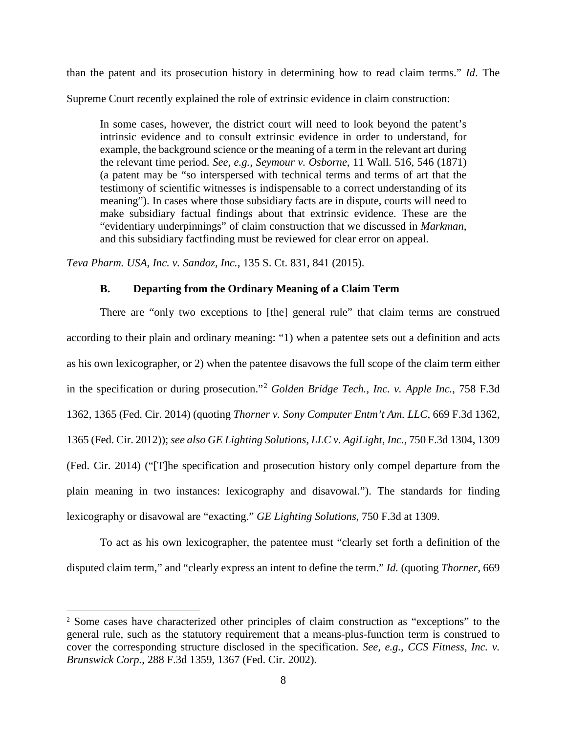than the patent and its prosecution history in determining how to read claim terms." *Id*. The Supreme Court recently explained the role of extrinsic evidence in claim construction:

In some cases, however, the district court will need to look beyond the patent's intrinsic evidence and to consult extrinsic evidence in order to understand, for example, the background science or the meaning of a term in the relevant art during the relevant time period. *See, e.g., Seymour v. Osborne*, 11 Wall. 516, 546 (1871) (a patent may be "so interspersed with technical terms and terms of art that the testimony of scientific witnesses is indispensable to a correct understanding of its meaning"). In cases where those subsidiary facts are in dispute, courts will need to make subsidiary factual findings about that extrinsic evidence. These are the "evidentiary underpinnings" of claim construction that we discussed in *Markman*, and this subsidiary factfinding must be reviewed for clear error on appeal.

<span id="page-7-0"></span>*Teva Pharm. USA, Inc. v. Sandoz, Inc.*, 135 S. Ct. 831, 841 (2015).

 $\overline{a}$ 

### **B. Departing from the Ordinary Meaning of a Claim Term**

There are "only two exceptions to [the] general rule" that claim terms are construed according to their plain and ordinary meaning: "1) when a patentee sets out a definition and acts as his own lexicographer, or 2) when the patentee disavows the full scope of the claim term either in the specification or during prosecution."[2](#page-7-1) *Golden Bridge Tech., Inc. v. Apple Inc.*, 758 F.3d 1362, 1365 (Fed. Cir. 2014) (quoting *Thorner v. Sony Computer Entm't Am. LLC*, 669 F.3d 1362, 1365 (Fed. Cir. 2012)); *see also GE Lighting Solutions, LLC v. AgiLight, Inc.*, 750 F.3d 1304, 1309 (Fed. Cir. 2014) ("[T]he specification and prosecution history only compel departure from the plain meaning in two instances: lexicography and disavowal."). The standards for finding lexicography or disavowal are "exacting." *GE Lighting Solutions*, 750 F.3d at 1309.

To act as his own lexicographer, the patentee must "clearly set forth a definition of the disputed claim term," and "clearly express an intent to define the term." *Id.* (quoting *Thorner*, 669

<span id="page-7-1"></span><sup>&</sup>lt;sup>2</sup> Some cases have characterized other principles of claim construction as "exceptions" to the general rule, such as the statutory requirement that a means-plus-function term is construed to cover the corresponding structure disclosed in the specification. *See, e.g., CCS Fitness, Inc. v. Brunswick Corp.*, 288 F.3d 1359, 1367 (Fed. Cir. 2002).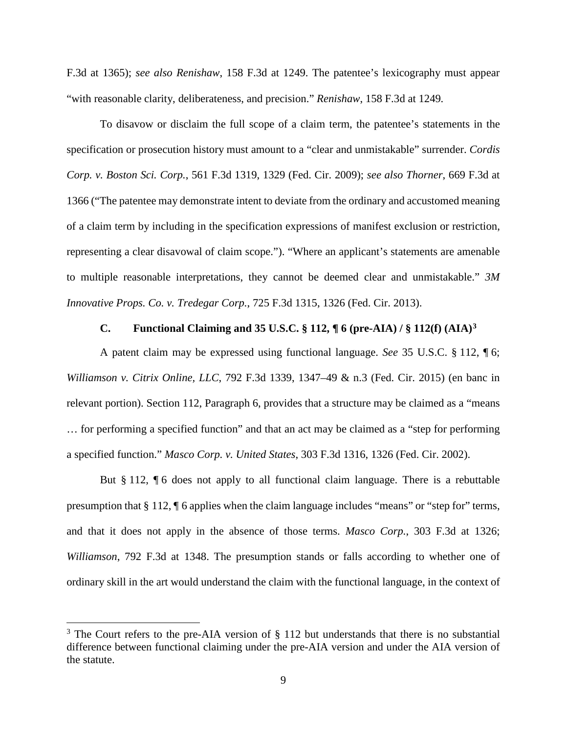F.3d at 1365); *see also Renishaw*, 158 F.3d at 1249. The patentee's lexicography must appear "with reasonable clarity, deliberateness, and precision." *Renishaw*, 158 F.3d at 1249*.*

To disavow or disclaim the full scope of a claim term, the patentee's statements in the specification or prosecution history must amount to a "clear and unmistakable" surrender. *Cordis Corp. v. Boston Sci. Corp.*, 561 F.3d 1319, 1329 (Fed. Cir. 2009); *see also Thorner*, 669 F.3d at 1366 ("The patentee may demonstrate intent to deviate from the ordinary and accustomed meaning of a claim term by including in the specification expressions of manifest exclusion or restriction, representing a clear disavowal of claim scope."). "Where an applicant's statements are amenable to multiple reasonable interpretations, they cannot be deemed clear and unmistakable." *3M Innovative Props. Co. v. Tredegar Corp.*, 725 F.3d 1315, 1326 (Fed. Cir. 2013).

### **C. Functional Claiming and 35 U.S.C. § 112, ¶ 6 (pre-AIA) / § 112(f) (AIA)[3](#page-8-1)**

<span id="page-8-0"></span>A patent claim may be expressed using functional language. *See* 35 U.S.C. § 112, ¶ 6; *Williamson v. Citrix Online, LLC*, 792 F.3d 1339, 1347–49 & n.3 (Fed. Cir. 2015) (en banc in relevant portion). Section 112, Paragraph 6, provides that a structure may be claimed as a "means … for performing a specified function" and that an act may be claimed as a "step for performing a specified function." *Masco Corp. v. United States*, 303 F.3d 1316, 1326 (Fed. Cir. 2002).

But § 112,  $\P$  6 does not apply to all functional claim language. There is a rebuttable presumption that § 112, ¶ 6 applies when the claim language includes "means" or "step for" terms, and that it does not apply in the absence of those terms. *Masco Corp.*, 303 F.3d at 1326; *Williamson*, 792 F.3d at 1348. The presumption stands or falls according to whether one of ordinary skill in the art would understand the claim with the functional language, in the context of

 $\overline{a}$ 

<span id="page-8-1"></span> $3$  The Court refers to the pre-AIA version of  $\S$  112 but understands that there is no substantial difference between functional claiming under the pre-AIA version and under the AIA version of the statute.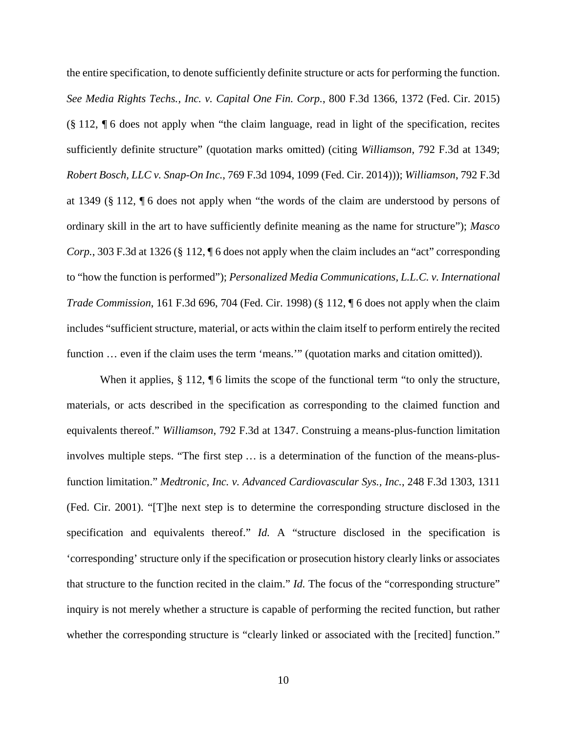the entire specification, to denote sufficiently definite structure or acts for performing the function. *See Media Rights Techs., Inc. v. Capital One Fin. Corp.*, 800 F.3d 1366, 1372 (Fed. Cir. 2015) (§ 112, ¶ 6 does not apply when "the claim language, read in light of the specification, recites sufficiently definite structure" (quotation marks omitted) (citing *Williamson*, 792 F.3d at 1349; *Robert Bosch, LLC v. Snap-On Inc.*, 769 F.3d 1094, 1099 (Fed. Cir. 2014))); *Williamson*, 792 F.3d at 1349 (§ 112, ¶ 6 does not apply when "the words of the claim are understood by persons of ordinary skill in the art to have sufficiently definite meaning as the name for structure"); *Masco Corp.*, 303 F.3d at 1326 (§ 112, ¶ 6 does not apply when the claim includes an "act" corresponding to "how the function is performed"); *Personalized Media Communications, L.L.C. v. International Trade Commission*, 161 F.3d 696, 704 (Fed. Cir. 1998) (§ 112, ¶ 6 does not apply when the claim includes "sufficient structure, material, or acts within the claim itself to perform entirely the recited function ... even if the claim uses the term 'means.'" (quotation marks and citation omitted)).

When it applies, § 112, ¶ 6 limits the scope of the functional term "to only the structure, materials, or acts described in the specification as corresponding to the claimed function and equivalents thereof." *Williamson*, 792 F.3d at 1347. Construing a means-plus-function limitation involves multiple steps. "The first step … is a determination of the function of the means-plusfunction limitation." *Medtronic, Inc. v. Advanced Cardiovascular Sys., Inc.*, 248 F.3d 1303, 1311 (Fed. Cir. 2001). "[T]he next step is to determine the corresponding structure disclosed in the specification and equivalents thereof." *Id.* A "structure disclosed in the specification is 'corresponding' structure only if the specification or prosecution history clearly links or associates that structure to the function recited in the claim." *Id.* The focus of the "corresponding structure" inquiry is not merely whether a structure is capable of performing the recited function, but rather whether the corresponding structure is "clearly linked or associated with the [recited] function."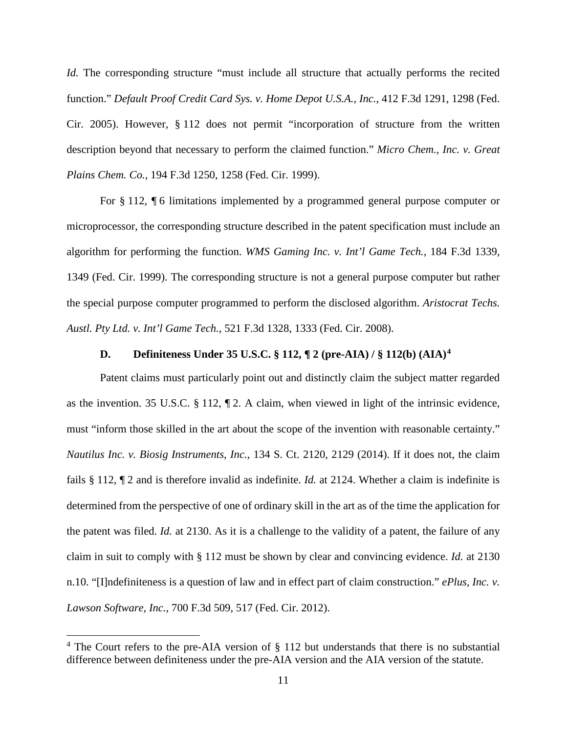*Id.* The corresponding structure "must include all structure that actually performs the recited function." *Default Proof Credit Card Sys. v. Home Depot U.S.A., Inc.*, 412 F.3d 1291, 1298 (Fed. Cir. 2005). However, § 112 does not permit "incorporation of structure from the written description beyond that necessary to perform the claimed function." *Micro Chem., Inc. v. Great Plains Chem. Co.*, 194 F.3d 1250, 1258 (Fed. Cir. 1999).

For § 112, ¶ 6 limitations implemented by a programmed general purpose computer or microprocessor, the corresponding structure described in the patent specification must include an algorithm for performing the function. *WMS Gaming Inc. v. Int'l Game Tech.*, 184 F.3d 1339, 1349 (Fed. Cir. 1999). The corresponding structure is not a general purpose computer but rather the special purpose computer programmed to perform the disclosed algorithm. *Aristocrat Techs. Austl. Pty Ltd. v. Int'l Game Tech.*, 521 F.3d 1328, 1333 (Fed. Cir. 2008).

### **D. Definiteness Under 35 U.S.C. § 112, ¶ 2 (pre-AIA) / § 112(b) (AIA)[4](#page-10-1)**

<span id="page-10-0"></span>Patent claims must particularly point out and distinctly claim the subject matter regarded as the invention. 35 U.S.C. § 112, ¶ 2. A claim, when viewed in light of the intrinsic evidence, must "inform those skilled in the art about the scope of the invention with reasonable certainty." *Nautilus Inc. v. Biosig Instruments, Inc.*, 134 S. Ct. 2120, 2129 (2014). If it does not, the claim fails § 112, ¶ 2 and is therefore invalid as indefinite. *Id.* at 2124. Whether a claim is indefinite is determined from the perspective of one of ordinary skill in the art as of the time the application for the patent was filed. *Id.* at 2130. As it is a challenge to the validity of a patent, the failure of any claim in suit to comply with § 112 must be shown by clear and convincing evidence. *Id.* at 2130 n.10. "[I]ndefiniteness is a question of law and in effect part of claim construction." *ePlus, Inc. v. Lawson Software, Inc.*, 700 F.3d 509, 517 (Fed. Cir. 2012).

 $\overline{a}$ 

<span id="page-10-1"></span><sup>&</sup>lt;sup>4</sup> The Court refers to the pre-AIA version of  $\S$  112 but understands that there is no substantial difference between definiteness under the pre-AIA version and the AIA version of the statute.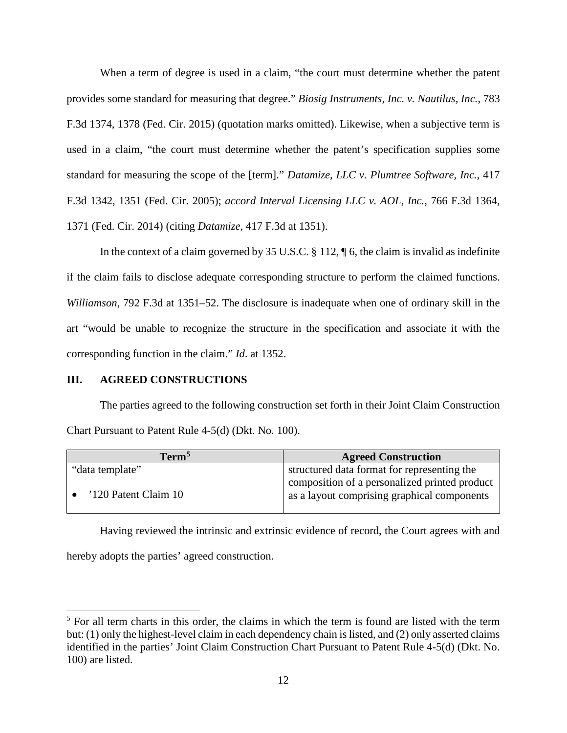When a term of degree is used in a claim, "the court must determine whether the patent provides some standard for measuring that degree." *Biosig Instruments, Inc. v. Nautilus, Inc.*, 783 F.3d 1374, 1378 (Fed. Cir. 2015) (quotation marks omitted). Likewise, when a subjective term is used in a claim, "the court must determine whether the patent's specification supplies some standard for measuring the scope of the [term]." *Datamize, LLC v. Plumtree Software, Inc.*, 417 F.3d 1342, 1351 (Fed. Cir. 2005); *accord Interval Licensing LLC v. AOL, Inc.*, 766 F.3d 1364, 1371 (Fed. Cir. 2014) (citing *Datamize*, 417 F.3d at 1351).

In the context of a claim governed by 35 U.S.C. § 112, ¶ 6, the claim is invalid as indefinite if the claim fails to disclose adequate corresponding structure to perform the claimed functions. *Williamson*, 792 F.3d at 1351–52. The disclosure is inadequate when one of ordinary skill in the art "would be unable to recognize the structure in the specification and associate it with the corresponding function in the claim." *Id*. at 1352.

### <span id="page-11-0"></span>**III. AGREED CONSTRUCTIONS**

 $\overline{a}$ 

The parties agreed to the following construction set forth in their Joint Claim Construction Chart Pursuant to Patent Rule 4-5(d) (Dkt. No. 100).

| Term <sup>5</sup>    | <b>Agreed Construction</b>                                                                   |
|----------------------|----------------------------------------------------------------------------------------------|
| "data template"      | structured data format for representing the                                                  |
| '120 Patent Claim 10 | composition of a personalized printed product<br>as a layout comprising graphical components |

Having reviewed the intrinsic and extrinsic evidence of record, the Court agrees with and hereby adopts the parties' agreed construction.

<span id="page-11-1"></span> $<sup>5</sup>$  For all term charts in this order, the claims in which the term is found are listed with the term</sup> but: (1) only the highest-level claim in each dependency chain is listed, and (2) only asserted claims identified in the parties' Joint Claim Construction Chart Pursuant to Patent Rule 4-5(d) (Dkt. No. 100) are listed.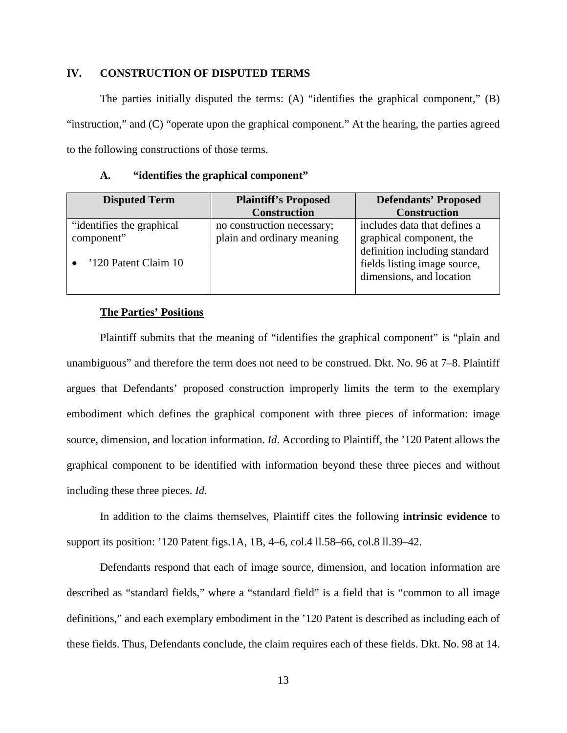### <span id="page-12-0"></span>**IV. CONSTRUCTION OF DISPUTED TERMS**

The parties initially disputed the terms: (A) "identifies the graphical component," (B) "instruction," and (C) "operate upon the graphical component." At the hearing, the parties agreed to the following constructions of those terms.

| A. |  | "identifies the graphical component" |  |
|----|--|--------------------------------------|--|
|----|--|--------------------------------------|--|

<span id="page-12-1"></span>

| <b>Disputed Term</b>       | <b>Plaintiff's Proposed</b> | <b>Defendants' Proposed</b>   |
|----------------------------|-----------------------------|-------------------------------|
|                            | <b>Construction</b>         | <b>Construction</b>           |
| "identifies the graphical" | no construction necessary;  | includes data that defines a  |
| component"                 | plain and ordinary meaning  | graphical component, the      |
|                            |                             | definition including standard |
| '120 Patent Claim 10       |                             | fields listing image source,  |
|                            |                             | dimensions, and location      |
|                            |                             |                               |

#### **The Parties' Positions**

Plaintiff submits that the meaning of "identifies the graphical component" is "plain and unambiguous" and therefore the term does not need to be construed. Dkt. No. 96 at 7–8. Plaintiff argues that Defendants' proposed construction improperly limits the term to the exemplary embodiment which defines the graphical component with three pieces of information: image source, dimension, and location information. *Id*. According to Plaintiff, the '120 Patent allows the graphical component to be identified with information beyond these three pieces and without including these three pieces. *Id*.

In addition to the claims themselves, Plaintiff cites the following **intrinsic evidence** to support its position: '120 Patent figs.1A, 1B, 4–6, col.4 ll.58–66, col.8 ll.39–42.

Defendants respond that each of image source, dimension, and location information are described as "standard fields," where a "standard field" is a field that is "common to all image definitions," and each exemplary embodiment in the '120 Patent is described as including each of these fields. Thus, Defendants conclude, the claim requires each of these fields. Dkt. No. 98 at 14.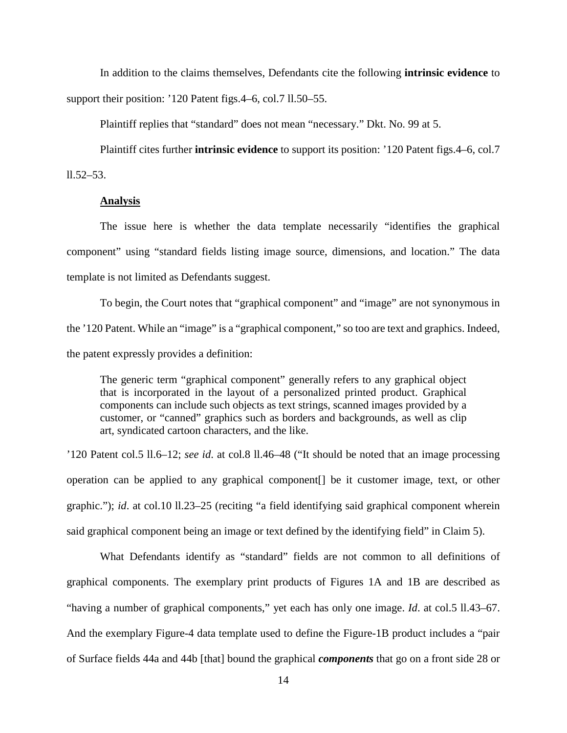In addition to the claims themselves, Defendants cite the following **intrinsic evidence** to support their position: '120 Patent figs.4–6, col.7 ll.50–55.

Plaintiff replies that "standard" does not mean "necessary." Dkt. No. 99 at 5.

Plaintiff cites further **intrinsic evidence** to support its position: '120 Patent figs.4–6, col.7

 $11.52 - 53.$ 

#### **Analysis**

The issue here is whether the data template necessarily "identifies the graphical component" using "standard fields listing image source, dimensions, and location." The data template is not limited as Defendants suggest.

To begin, the Court notes that "graphical component" and "image" are not synonymous in the '120 Patent. While an "image" is a "graphical component," so too are text and graphics. Indeed, the patent expressly provides a definition:

The generic term "graphical component" generally refers to any graphical object that is incorporated in the layout of a personalized printed product. Graphical components can include such objects as text strings, scanned images provided by a customer, or "canned" graphics such as borders and backgrounds, as well as clip art, syndicated cartoon characters, and the like.

'120 Patent col.5 ll.6–12; *see id*. at col.8 ll.46–48 ("It should be noted that an image processing operation can be applied to any graphical component[] be it customer image, text, or other graphic."); *id*. at col.10 ll.23–25 (reciting "a field identifying said graphical component wherein said graphical component being an image or text defined by the identifying field" in Claim 5).

What Defendants identify as "standard" fields are not common to all definitions of graphical components. The exemplary print products of Figures 1A and 1B are described as "having a number of graphical components," yet each has only one image. *Id*. at col.5 ll.43–67. And the exemplary Figure-4 data template used to define the Figure-1B product includes a "pair of Surface fields 44a and 44b [that] bound the graphical *components* that go on a front side 28 or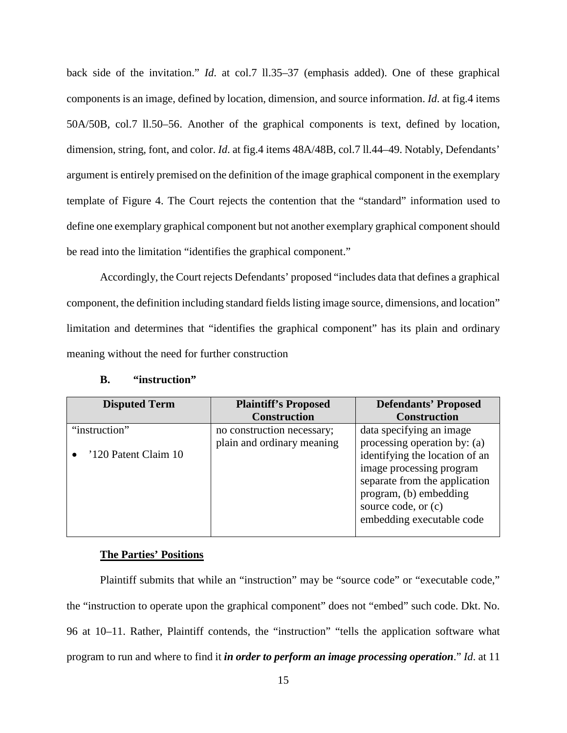back side of the invitation." *Id*. at col.7 ll.35–37 (emphasis added). One of these graphical components is an image, defined by location, dimension, and source information. *Id*. at fig.4 items 50A/50B, col.7 ll.50–56. Another of the graphical components is text, defined by location, dimension, string, font, and color. *Id.* at fig.4 items  $48A/48B$ , col.7 ll.44–49. Notably, Defendants' argument is entirely premised on the definition of the image graphical component in the exemplary template of Figure 4. The Court rejects the contention that the "standard" information used to define one exemplary graphical component but not another exemplary graphical component should be read into the limitation "identifies the graphical component."

Accordingly, the Court rejects Defendants' proposed "includes data that defines a graphical component, the definition including standard fields listing image source, dimensions, and location" limitation and determines that "identifies the graphical component" has its plain and ordinary meaning without the need for further construction

<span id="page-14-0"></span>

| <b>Disputed Term</b> | <b>Plaintiff's Proposed</b> | <b>Defendants' Proposed</b>    |
|----------------------|-----------------------------|--------------------------------|
|                      | <b>Construction</b>         | <b>Construction</b>            |
| "instruction"        | no construction necessary;  | data specifying an image       |
|                      | plain and ordinary meaning  | processing operation by: (a)   |
| '120 Patent Claim 10 |                             | identifying the location of an |
|                      |                             | image processing program       |
|                      |                             | separate from the application  |
|                      |                             | program, (b) embedding         |
|                      |                             | source code, or (c)            |
|                      |                             | embedding executable code      |
|                      |                             |                                |

### **B. "instruction"**

#### **The Parties' Positions**

Plaintiff submits that while an "instruction" may be "source code" or "executable code," the "instruction to operate upon the graphical component" does not "embed" such code. Dkt. No. 96 at 10–11. Rather, Plaintiff contends, the "instruction" "tells the application software what program to run and where to find it *in order to perform an image processing operation*." *Id*. at 11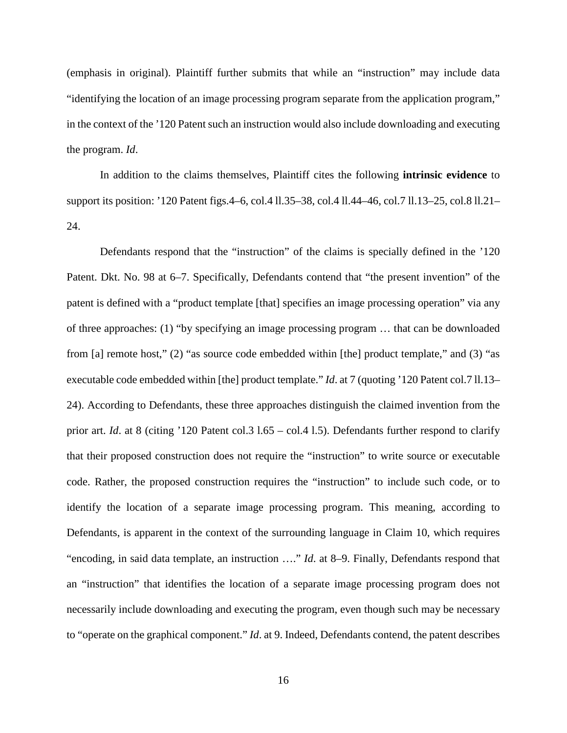(emphasis in original). Plaintiff further submits that while an "instruction" may include data "identifying the location of an image processing program separate from the application program," in the context of the '120 Patent such an instruction would also include downloading and executing the program. *Id*.

In addition to the claims themselves, Plaintiff cites the following **intrinsic evidence** to support its position: '120 Patent figs.4–6, col.4 ll.35–38, col.4 ll.44–46, col.7 ll.13–25, col.8 ll.21– 24.

Defendants respond that the "instruction" of the claims is specially defined in the '120 Patent. Dkt. No. 98 at 6–7. Specifically, Defendants contend that "the present invention" of the patent is defined with a "product template [that] specifies an image processing operation" via any of three approaches: (1) "by specifying an image processing program … that can be downloaded from [a] remote host," (2) "as source code embedded within [the] product template," and (3) "as executable code embedded within [the] product template." *Id.* at 7 (quoting '120 Patent col.7 ll.13– 24). According to Defendants, these three approaches distinguish the claimed invention from the prior art. *Id*. at 8 (citing '120 Patent col.3 l.65 – col.4 l.5). Defendants further respond to clarify that their proposed construction does not require the "instruction" to write source or executable code. Rather, the proposed construction requires the "instruction" to include such code, or to identify the location of a separate image processing program. This meaning, according to Defendants, is apparent in the context of the surrounding language in Claim 10, which requires "encoding, in said data template, an instruction …." *Id*. at 8–9. Finally, Defendants respond that an "instruction" that identifies the location of a separate image processing program does not necessarily include downloading and executing the program, even though such may be necessary to "operate on the graphical component." *Id*. at 9. Indeed, Defendants contend, the patent describes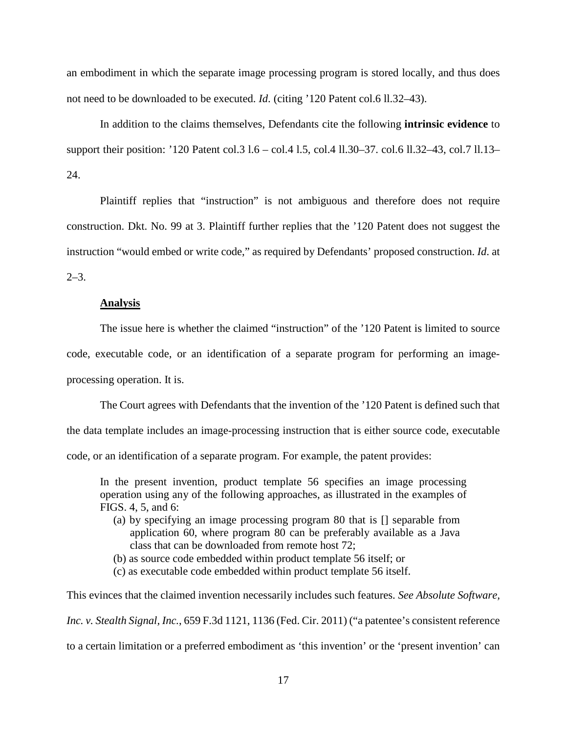an embodiment in which the separate image processing program is stored locally, and thus does not need to be downloaded to be executed. *Id*. (citing '120 Patent col.6 ll.32–43).

In addition to the claims themselves, Defendants cite the following **intrinsic evidence** to support their position: '120 Patent col.3 l.6 – col.4 l.5, col.4 ll.30–37. col.6 ll.32–43, col.7 ll.13– 24.

Plaintiff replies that "instruction" is not ambiguous and therefore does not require construction. Dkt. No. 99 at 3. Plaintiff further replies that the '120 Patent does not suggest the instruction "would embed or write code," as required by Defendants' proposed construction. *Id*. at  $2 - 3$ .

#### **Analysis**

The issue here is whether the claimed "instruction" of the '120 Patent is limited to source code, executable code, or an identification of a separate program for performing an imageprocessing operation. It is.

The Court agrees with Defendants that the invention of the '120 Patent is defined such that the data template includes an image-processing instruction that is either source code, executable code, or an identification of a separate program. For example, the patent provides:

In the present invention, product template 56 specifies an image processing operation using any of the following approaches, as illustrated in the examples of FIGS. 4, 5, and 6:

(a) by specifying an image processing program 80 that is [] separable from application 60, where program 80 can be preferably available as a Java class that can be downloaded from remote host 72;

(b) as source code embedded within product template 56 itself; or

(c) as executable code embedded within product template 56 itself.

This evinces that the claimed invention necessarily includes such features. *See Absolute Software, Inc. v. Stealth Signal, Inc.*, 659 F.3d 1121, 1136 (Fed. Cir. 2011) ("a patentee's consistent reference to a certain limitation or a preferred embodiment as 'this invention' or the 'present invention' can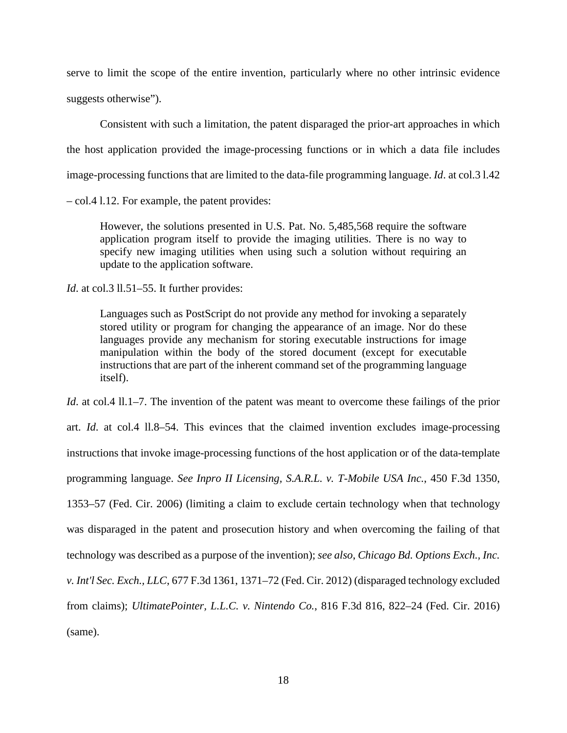serve to limit the scope of the entire invention, particularly where no other intrinsic evidence suggests otherwise").

Consistent with such a limitation, the patent disparaged the prior-art approaches in which the host application provided the image-processing functions or in which a data file includes image-processing functions that are limited to the data-file programming language. *Id*. at col.3 l.42

– col.4 l.12. For example, the patent provides:

However, the solutions presented in U.S. Pat. No. 5,485,568 require the software application program itself to provide the imaging utilities. There is no way to specify new imaging utilities when using such a solution without requiring an update to the application software.

*Id.* at col.3 ll.51–55. It further provides:

Languages such as PostScript do not provide any method for invoking a separately stored utility or program for changing the appearance of an image. Nor do these languages provide any mechanism for storing executable instructions for image manipulation within the body of the stored document (except for executable instructions that are part of the inherent command set of the programming language itself).

*Id.* at col.4 11.1–7. The invention of the patent was meant to overcome these failings of the prior art. *Id*. at col.4 ll.8–54. This evinces that the claimed invention excludes image-processing instructions that invoke image-processing functions of the host application or of the data-template programming language. *See Inpro II Licensing, S.A.R.L. v. T-Mobile USA Inc.*, 450 F.3d 1350, 1353–57 (Fed. Cir. 2006) (limiting a claim to exclude certain technology when that technology was disparaged in the patent and prosecution history and when overcoming the failing of that technology was described as a purpose of the invention); *see also*, *Chicago Bd. Options Exch., Inc. v. Int'l Sec. Exch., LLC*, 677 F.3d 1361, 1371–72 (Fed. Cir. 2012) (disparaged technology excluded from claims); *UltimatePointer, L.L.C. v. Nintendo Co.*, 816 F.3d 816, 822–24 (Fed. Cir. 2016) (same).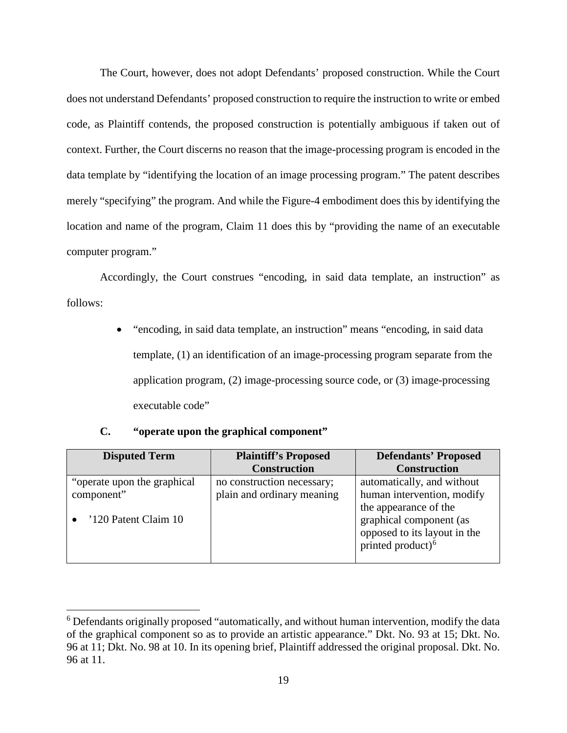The Court, however, does not adopt Defendants' proposed construction. While the Court does not understand Defendants' proposed construction to require the instruction to write or embed code, as Plaintiff contends, the proposed construction is potentially ambiguous if taken out of context. Further, the Court discerns no reason that the image-processing program is encoded in the data template by "identifying the location of an image processing program." The patent describes merely "specifying" the program. And while the Figure-4 embodiment does this by identifying the location and name of the program, Claim 11 does this by "providing the name of an executable computer program."

Accordingly, the Court construes "encoding, in said data template, an instruction" as follows:

> • "encoding, in said data template, an instruction" means "encoding, in said data template, (1) an identification of an image-processing program separate from the application program, (2) image-processing source code, or (3) image-processing executable code"

### **C. "operate upon the graphical component"**

 $\overline{a}$ 

<span id="page-18-0"></span>

| <b>Disputed Term</b>         | <b>Plaintiff's Proposed</b> | <b>Defendants' Proposed</b>  |
|------------------------------|-----------------------------|------------------------------|
|                              | <b>Construction</b>         | <b>Construction</b>          |
| "operate upon the graphical" | no construction necessary;  | automatically, and without   |
| component"                   | plain and ordinary meaning  | human intervention, modify   |
|                              |                             | the appearance of the        |
| '120 Patent Claim 10         |                             | graphical component (as      |
|                              |                             | opposed to its layout in the |
|                              |                             | printed product) $6$         |
|                              |                             |                              |

<span id="page-18-1"></span><sup>&</sup>lt;sup>6</sup> Defendants originally proposed "automatically, and without human intervention, modify the data of the graphical component so as to provide an artistic appearance." Dkt. No. 93 at 15; Dkt. No. 96 at 11; Dkt. No. 98 at 10. In its opening brief, Plaintiff addressed the original proposal. Dkt. No. 96 at 11.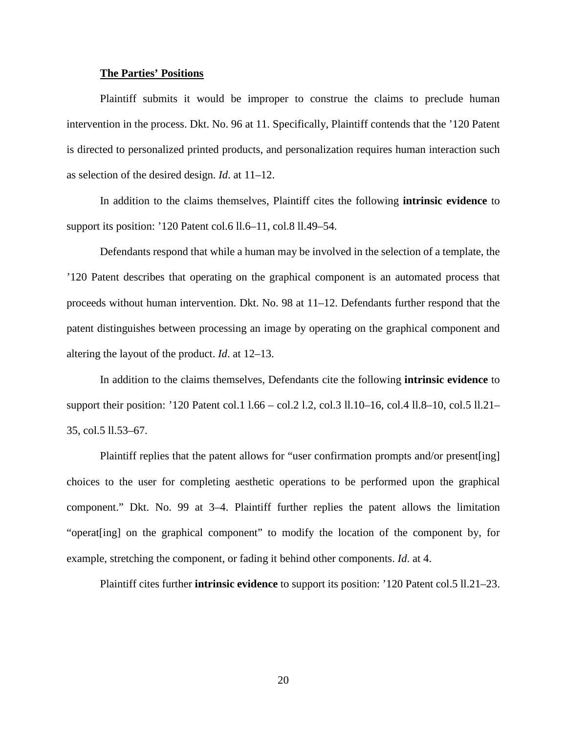#### **The Parties' Positions**

Plaintiff submits it would be improper to construe the claims to preclude human intervention in the process. Dkt. No. 96 at 11. Specifically, Plaintiff contends that the '120 Patent is directed to personalized printed products, and personalization requires human interaction such as selection of the desired design. *Id*. at 11–12.

In addition to the claims themselves, Plaintiff cites the following **intrinsic evidence** to support its position: '120 Patent col.6 ll.6–11, col.8 ll.49–54.

Defendants respond that while a human may be involved in the selection of a template, the '120 Patent describes that operating on the graphical component is an automated process that proceeds without human intervention. Dkt. No. 98 at 11–12. Defendants further respond that the patent distinguishes between processing an image by operating on the graphical component and altering the layout of the product. *Id*. at 12–13.

In addition to the claims themselves, Defendants cite the following **intrinsic evidence** to support their position: '120 Patent col.1 l.66 – col.2 l.2, col.3 ll.10–16, col.4 ll.8–10, col.5 ll.21– 35, col.5 ll.53–67.

Plaintiff replies that the patent allows for "user confirmation prompts and/or present [ing] choices to the user for completing aesthetic operations to be performed upon the graphical component." Dkt. No. 99 at 3–4. Plaintiff further replies the patent allows the limitation "operat[ing] on the graphical component" to modify the location of the component by, for example, stretching the component, or fading it behind other components. *Id*. at 4.

Plaintiff cites further **intrinsic evidence** to support its position: '120 Patent col.5 ll.21–23.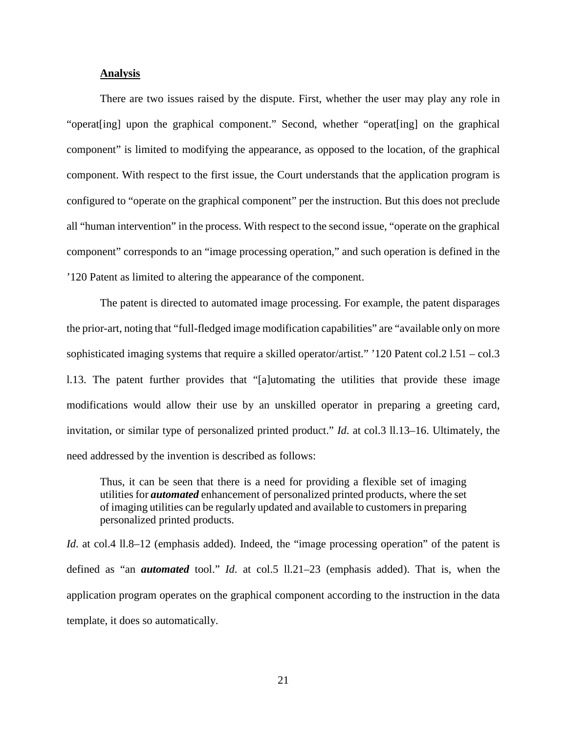### **Analysis**

There are two issues raised by the dispute. First, whether the user may play any role in "operat[ing] upon the graphical component." Second, whether "operat[ing] on the graphical component" is limited to modifying the appearance, as opposed to the location, of the graphical component. With respect to the first issue, the Court understands that the application program is configured to "operate on the graphical component" per the instruction. But this does not preclude all "human intervention" in the process. With respect to the second issue, "operate on the graphical component" corresponds to an "image processing operation," and such operation is defined in the '120 Patent as limited to altering the appearance of the component.

The patent is directed to automated image processing. For example, the patent disparages the prior-art, noting that "full-fledged image modification capabilities" are "available only on more sophisticated imaging systems that require a skilled operator/artist." '120 Patent col.2 l.51 – col.3 l.13. The patent further provides that "[a]utomating the utilities that provide these image modifications would allow their use by an unskilled operator in preparing a greeting card, invitation, or similar type of personalized printed product." *Id*. at col.3 ll.13–16. Ultimately, the need addressed by the invention is described as follows:

Thus, it can be seen that there is a need for providing a flexible set of imaging utilities for *automated* enhancement of personalized printed products, where the set of imaging utilities can be regularly updated and available to customers in preparing personalized printed products.

*Id.* at col.4 ll.8–12 (emphasis added). Indeed, the "image processing operation" of the patent is defined as "an *automated* tool." *Id*. at col.5 ll.21–23 (emphasis added). That is, when the application program operates on the graphical component according to the instruction in the data template, it does so automatically.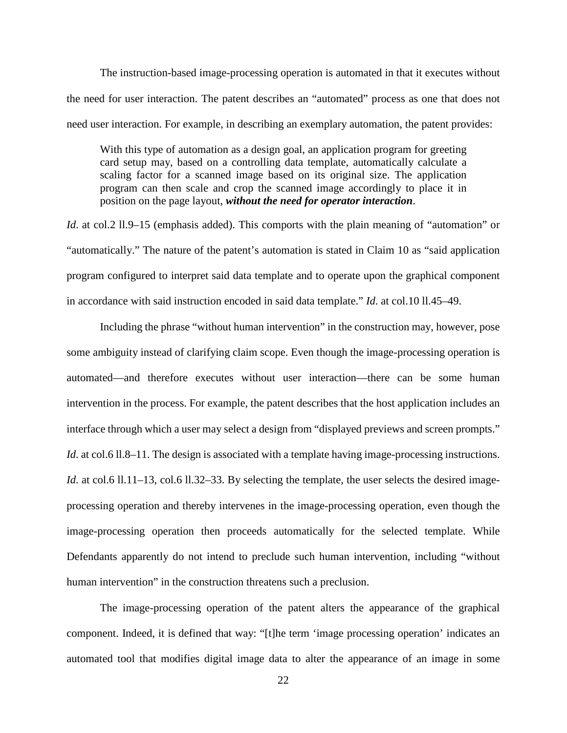The instruction-based image-processing operation is automated in that it executes without the need for user interaction. The patent describes an "automated" process as one that does not need user interaction. For example, in describing an exemplary automation, the patent provides:

With this type of automation as a design goal, an application program for greeting card setup may, based on a controlling data template, automatically calculate a scaling factor for a scanned image based on its original size. The application program can then scale and crop the scanned image accordingly to place it in position on the page layout, *without the need for operator interaction*.

*Id.* at col.2 ll.9–15 (emphasis added). This comports with the plain meaning of "automation" or "automatically." The nature of the patent's automation is stated in Claim 10 as "said application program configured to interpret said data template and to operate upon the graphical component in accordance with said instruction encoded in said data template." *Id*. at col.10 ll.45–49.

Including the phrase "without human intervention" in the construction may, however, pose some ambiguity instead of clarifying claim scope. Even though the image-processing operation is automated—and therefore executes without user interaction—there can be some human intervention in the process. For example, the patent describes that the host application includes an interface through which a user may select a design from "displayed previews and screen prompts." *Id.* at col.6 ll.8–11. The design is associated with a template having image-processing instructions. *Id.* at col.6 ll.11–13, col.6 ll.32–33. By selecting the template, the user selects the desired imageprocessing operation and thereby intervenes in the image-processing operation, even though the image-processing operation then proceeds automatically for the selected template. While Defendants apparently do not intend to preclude such human intervention, including "without human intervention" in the construction threatens such a preclusion.

The image-processing operation of the patent alters the appearance of the graphical component. Indeed, it is defined that way: "[t]he term 'image processing operation' indicates an automated tool that modifies digital image data to alter the appearance of an image in some